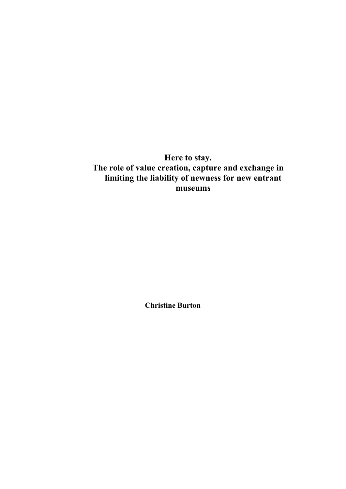**Here to stay. The role of value creation, capture and exchange in limiting the liability of newness for new entrant museums** 

**Christine Burton**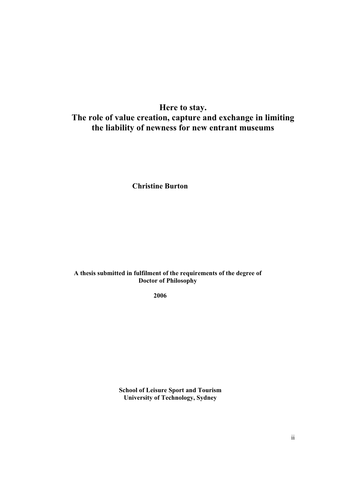# **Here to stay. The role of value creation, capture and exchange in limiting the liability of newness for new entrant museums**

**Christine Burton** 

#### **A thesis submitted in fulfilment of the requirements of the degree of Doctor of Philosophy**

**2006**

**School of Leisure Sport and Tourism University of Technology, Sydney**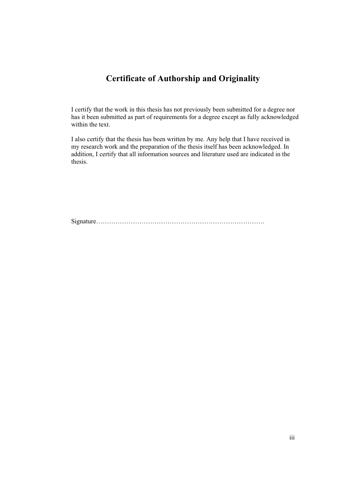## **Certificate of Authorship and Originality**

I certify that the work in this thesis has not previously been submitted for a degree nor has it been submitted as part of requirements for a degree except as fully acknowledged within the text.

I also certify that the thesis has been written by me. Any help that I have received in my research work and the preparation of the thesis itself has been acknowledged. In addition, I certify that all information sources and literature used are indicated in the thesis.

Signature……………………………………………………………………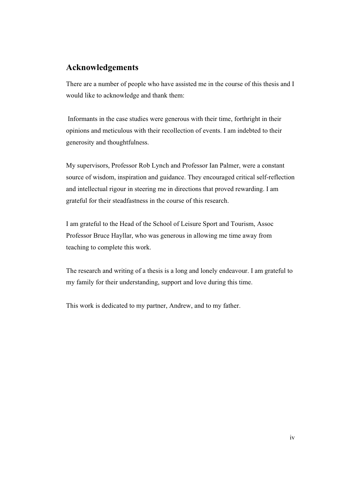### **Acknowledgements**

There are a number of people who have assisted me in the course of this thesis and I would like to acknowledge and thank them:

 Informants in the case studies were generous with their time, forthright in their opinions and meticulous with their recollection of events. I am indebted to their generosity and thoughtfulness.

My supervisors, Professor Rob Lynch and Professor Ian Palmer, were a constant source of wisdom, inspiration and guidance. They encouraged critical self-reflection and intellectual rigour in steering me in directions that proved rewarding. I am grateful for their steadfastness in the course of this research.

I am grateful to the Head of the School of Leisure Sport and Tourism, Assoc Professor Bruce Hayllar, who was generous in allowing me time away from teaching to complete this work.

The research and writing of a thesis is a long and lonely endeavour. I am grateful to my family for their understanding, support and love during this time.

This work is dedicated to my partner, Andrew, and to my father.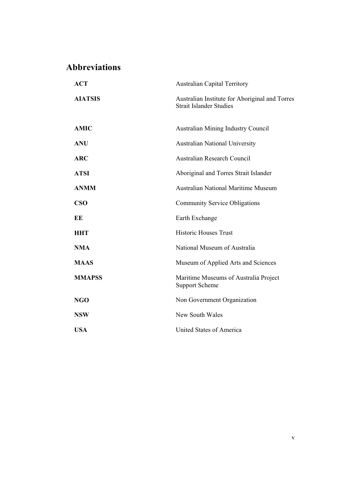# **Abbreviations**

| <b>ACT</b>     | <b>Australian Capital Territory</b>                                              |
|----------------|----------------------------------------------------------------------------------|
| <b>AIATSIS</b> | Australian Institute for Aboriginal and Torres<br><b>Strait Islander Studies</b> |
| <b>AMIC</b>    | Australian Mining Industry Council                                               |
| <b>ANU</b>     | <b>Australian National University</b>                                            |
| <b>ARC</b>     | <b>Australian Research Council</b>                                               |
| <b>ATSI</b>    | Aboriginal and Torres Strait Islander                                            |
| <b>ANMM</b>    | <b>Australian National Maritime Museum</b>                                       |
| CSO            | <b>Community Service Obligations</b>                                             |
| EE             | Earth Exchange                                                                   |
| <b>HHT</b>     | <b>Historic Houses Trust</b>                                                     |
| <b>NMA</b>     | National Museum of Australia                                                     |
| <b>MAAS</b>    | Museum of Applied Arts and Sciences                                              |
| <b>MMAPSS</b>  | Maritime Museums of Australia Project<br><b>Support Scheme</b>                   |
| <b>NGO</b>     | Non Government Organization                                                      |
| <b>NSW</b>     | New South Wales                                                                  |
| <b>USA</b>     | United States of America                                                         |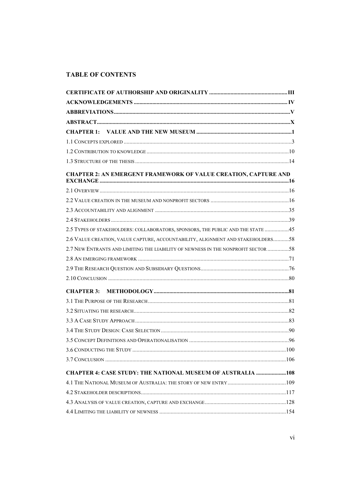### **TABLE OF CONTENTS**

| <b>CHAPTER 2: AN EMERGENT FRAMEWORK OF VALUE CREATION, CAPTURE AND</b>            |  |
|-----------------------------------------------------------------------------------|--|
|                                                                                   |  |
|                                                                                   |  |
|                                                                                   |  |
|                                                                                   |  |
| 2.5 TYPES OF STAKEHOLDERS: COLLABORATORS, SPONSORS, THE PUBLIC AND THE STATE 45   |  |
| 2.6 VALUE CREATION, VALUE CAPTURE, ACCOUNTABILITY, ALIGNMENT AND STAKEHOLDERS58   |  |
| 2.7 NEW ENTRANTS AND LIMITING THE LIABILITY OF NEWNESS IN THE NONPROFIT SECTOR 58 |  |
|                                                                                   |  |
|                                                                                   |  |
|                                                                                   |  |
|                                                                                   |  |
|                                                                                   |  |
|                                                                                   |  |
|                                                                                   |  |
|                                                                                   |  |
|                                                                                   |  |
|                                                                                   |  |
|                                                                                   |  |
| <b>CHAPTER 4: CASE STUDY: THE NATIONAL MUSEUM OF AUSTRALIA 108</b>                |  |
|                                                                                   |  |
|                                                                                   |  |
|                                                                                   |  |
|                                                                                   |  |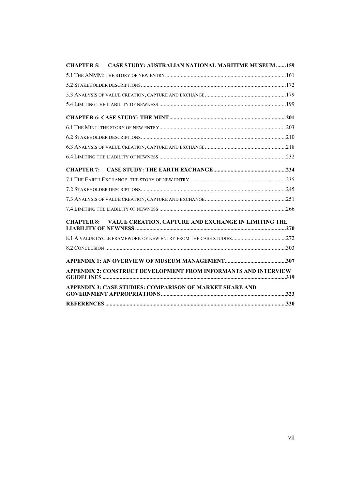| <b>CHAPTER 5:</b> | <b>CASE STUDY: AUSTRALIAN NATIONAL MARITIME MUSEUM 159</b>             |  |
|-------------------|------------------------------------------------------------------------|--|
|                   |                                                                        |  |
|                   |                                                                        |  |
|                   |                                                                        |  |
|                   |                                                                        |  |
|                   |                                                                        |  |
|                   |                                                                        |  |
|                   |                                                                        |  |
|                   |                                                                        |  |
|                   |                                                                        |  |
|                   |                                                                        |  |
|                   |                                                                        |  |
|                   |                                                                        |  |
|                   |                                                                        |  |
|                   |                                                                        |  |
|                   | <b>CHAPTER 8: VALUE CREATION, CAPTURE AND EXCHANGE IN LIMITING THE</b> |  |
|                   |                                                                        |  |
|                   |                                                                        |  |
|                   |                                                                        |  |
|                   |                                                                        |  |
|                   | APPENDIX 2: CONSTRUCT DEVELOPMENT FROM INFORMANTS AND INTERVIEW        |  |
|                   | APPENDIX 3: CASE STUDIES: COMPARISON OF MARKET SHARE AND               |  |
|                   |                                                                        |  |
|                   |                                                                        |  |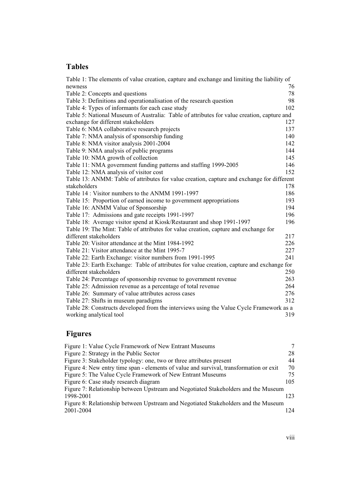### **Tables**

| Table 1: The elements of value creation, capture and exchange and limiting the liability of |     |
|---------------------------------------------------------------------------------------------|-----|
| newness                                                                                     | 76  |
| Table 2: Concepts and questions                                                             | 78  |
| Table 3: Definitions and operationalisation of the research question                        | 98  |
| Table 4: Types of informants for each case study                                            | 102 |
| Table 5: National Museum of Australia: Table of attributes for value creation, capture and  |     |
| exchange for different stakeholders                                                         | 127 |
| Table 6: NMA collaborative research projects                                                | 137 |
| Table 7: NMA analysis of sponsorship funding                                                | 140 |
| Table 8: NMA visitor analysis 2001-2004                                                     | 142 |
| Table 9: NMA analysis of public programs                                                    | 144 |
| Table 10: NMA growth of collection                                                          | 145 |
| Table 11: NMA government funding patterns and staffing 1999-2005                            | 146 |
| Table 12: NMA analysis of visitor cost                                                      | 152 |
| Table 13: ANMM: Table of attributes for value creation, capture and exchange for different  |     |
| stakeholders                                                                                | 178 |
| Table 14 : Visitor numbers to the ANMM 1991-1997                                            | 186 |
| Table 15: Proportion of earned income to government appropriations                          | 193 |
| Table 16: ANMM Value of Sponsorship                                                         | 194 |
| Table 17: Admissions and gate receipts 1991-1997                                            | 196 |
| Table 18: Average visitor spend at Kiosk/Restaurant and shop 1991-1997                      | 196 |
| Table 19: The Mint: Table of attributes for value creation, capture and exchange for        |     |
| different stakeholders                                                                      | 217 |
| Table 20: Visitor attendance at the Mint 1984-1992                                          | 226 |
| Table 21: Visitor attendance at the Mint 1995-7                                             | 227 |
| Table 22: Earth Exchange: visitor numbers from 1991-1995                                    | 241 |
| Table 23: Earth Exchange: Table of attributes for value creation, capture and exchange for  |     |
| different stakeholders                                                                      | 250 |
| Table 24: Percentage of sponsorship revenue to government revenue                           | 263 |
| Table 25: Admission revenue as a percentage of total revenue                                | 264 |
| Table 26: Summary of value attributes across cases                                          | 276 |
| Table 27: Shifts in museum paradigms                                                        | 312 |
| Table 28: Constructs developed from the interviews using the Value Cycle Framework as a     |     |
| working analytical tool                                                                     | 319 |

# **Figures**

| Figure 1: Value Cycle Framework of New Entrant Museums                                 |     |
|----------------------------------------------------------------------------------------|-----|
| Figure 2: Strategy in the Public Sector                                                | 28  |
| Figure 3: Stakeholder typology: one, two or three attributes present                   | 44  |
| Figure 4: New entry time span - elements of value and survival, transformation or exit | 70  |
| Figure 5: The Value Cycle Framework of New Entrant Museums                             | 75  |
| Figure 6: Case study research diagram                                                  | 105 |
| Figure 7: Relationship between Upstream and Negotiated Stakeholders and the Museum     |     |
| 1998-2001                                                                              | 123 |
| Figure 8: Relationship between Upstream and Negotiated Stakeholders and the Museum     |     |
| 2001-2004                                                                              | 124 |
|                                                                                        |     |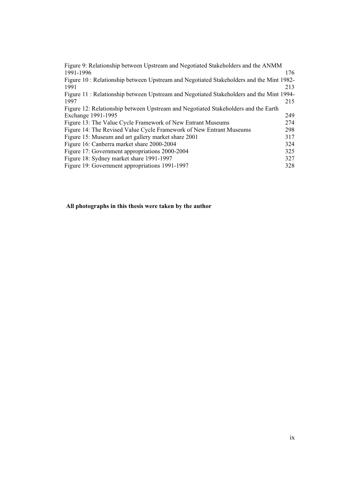| Figure 9: Relationship between Upstream and Negotiated Stakeholders and the ANMM        |     |
|-----------------------------------------------------------------------------------------|-----|
| 1991-1996                                                                               | 176 |
| Figure 10: Relationship between Upstream and Negotiated Stakeholders and the Mint 1982- |     |
| 1991                                                                                    | 213 |
| Figure 11: Relationship between Upstream and Negotiated Stakeholders and the Mint 1994- |     |
| 1997                                                                                    | 215 |
| Figure 12: Relationship between Upstream and Negotiated Stakeholders and the Earth      |     |
| Exchange 1991-1995                                                                      | 249 |
| Figure 13: The Value Cycle Framework of New Entrant Museums                             | 274 |
| Figure 14: The Revised Value Cycle Framework of New Entrant Museums                     | 298 |
| Figure 15: Museum and art gallery market share 2001                                     | 317 |
| Figure 16: Canberra market share 2000-2004                                              | 324 |
| Figure 17: Government appropriations 2000-2004                                          | 325 |
| Figure 18: Sydney market share 1991-1997                                                | 327 |
| Figure 19: Government appropriations 1991-1997                                          | 328 |
|                                                                                         |     |

#### **All photographs in this thesis were taken by the author**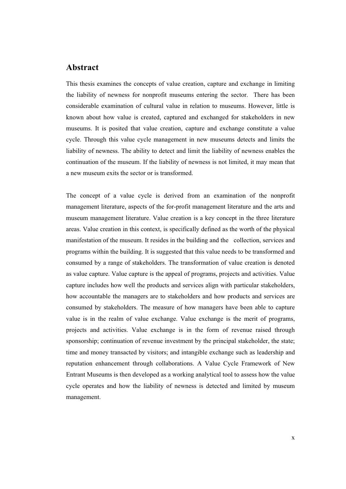#### **Abstract**

This thesis examines the concepts of value creation, capture and exchange in limiting the liability of newness for nonprofit museums entering the sector. There has been considerable examination of cultural value in relation to museums. However, little is known about how value is created, captured and exchanged for stakeholders in new museums. It is posited that value creation, capture and exchange constitute a value cycle. Through this value cycle management in new museums detects and limits the liability of newness. The ability to detect and limit the liability of newness enables the continuation of the museum. If the liability of newness is not limited, it may mean that a new museum exits the sector or is transformed.

The concept of a value cycle is derived from an examination of the nonprofit management literature, aspects of the for-profit management literature and the arts and museum management literature. Value creation is a key concept in the three literature areas. Value creation in this context, is specifically defined as the worth of the physical manifestation of the museum. It resides in the building and the collection, services and programs within the building. It is suggested that this value needs to be transformed and consumed by a range of stakeholders. The transformation of value creation is denoted as value capture. Value capture is the appeal of programs, projects and activities. Value capture includes how well the products and services align with particular stakeholders, how accountable the managers are to stakeholders and how products and services are consumed by stakeholders. The measure of how managers have been able to capture value is in the realm of value exchange. Value exchange is the merit of programs, projects and activities. Value exchange is in the form of revenue raised through sponsorship; continuation of revenue investment by the principal stakeholder, the state; time and money transacted by visitors; and intangible exchange such as leadership and reputation enhancement through collaborations. A Value Cycle Framework of New Entrant Museums is then developed as a working analytical tool to assess how the value cycle operates and how the liability of newness is detected and limited by museum management.